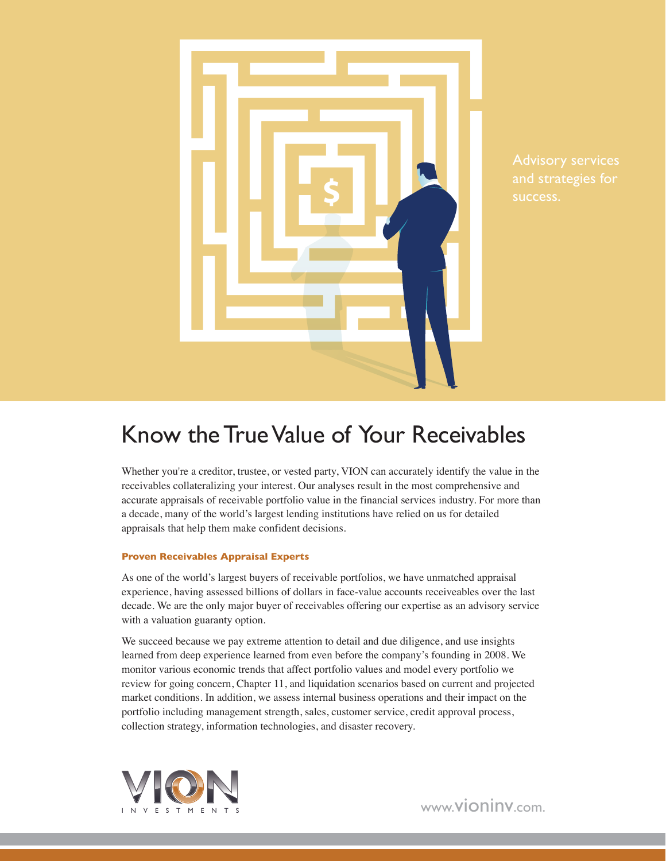

success.

## Know the True Value of Your Receivables

Whether you're a creditor, trustee, or vested party, VION can accurately identify the value in the receivables collateralizing your interest. Our analyses result in the most comprehensive and accurate appraisals of receivable portfolio value in the financial services industry. For more than a decade, many of the world's largest lending institutions have relied on us for detailed appraisals that help them make confident decisions.

#### **Proven Receivables Appraisal Experts**

As one of the world's largest buyers of receivable portfolios, we have unmatched appraisal experience, having assessed billions of dollars in face-value accounts receiveables over the last decade. We are the only major buyer of receivables offering our expertise as an advisory service with a valuation guaranty option.

We succeed because we pay extreme attention to detail and due diligence, and use insights learned from deep experience learned from even before the company's founding in 2008. We monitor various economic trends that affect portfolio values and model every portfolio we review for going concern, Chapter 11, and liquidation scenarios based on current and projected market conditions. In addition, we assess internal business operations and their impact on the portfolio including management strength, sales, customer service, credit approval process, collection strategy, information technologies, and disaster recovery.



www.vioninv.com